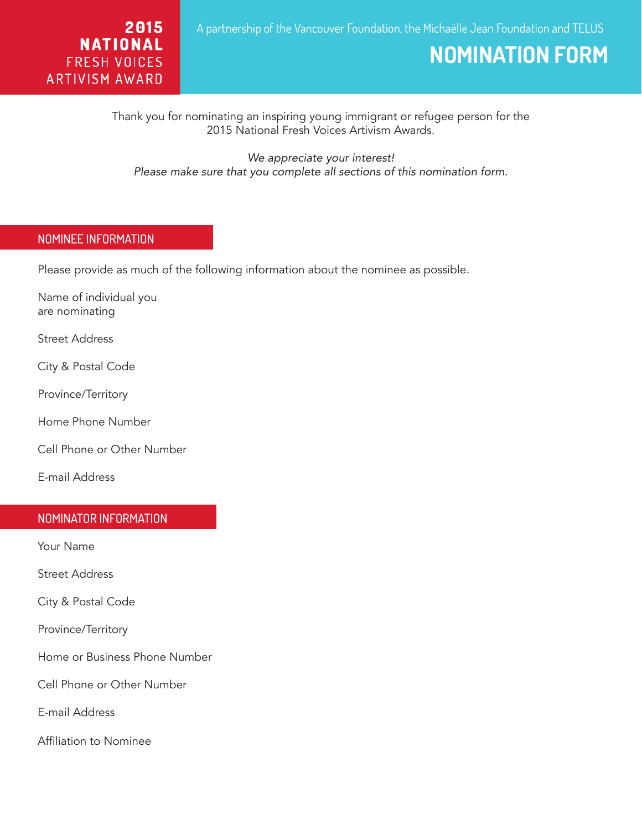

# **NOMINATION FORM**

Thank you for nominating an inspiring young immigrant or refugee person for the 2015 National Fresh Voices Artivism Awards.

*We appreciate your interest! Please make sure that you complete all sections of this nomination form.*

## NOMINEE INFORMATION

Please provide as much of the following information about the nominee as possible.

Name of individual you are nominating

Street Address

City & Postal Code

Province/Territory

Home Phone Number

Cell Phone or Other Number

E-mail Address

#### NOMINATOR INFORMATION

Your Name

Ξ

Street Address

City & Postal Code

Province/Territory

Home or Business Phone Number

Cell Phone or Other Number

E-mail Address

Affiliation to Nominee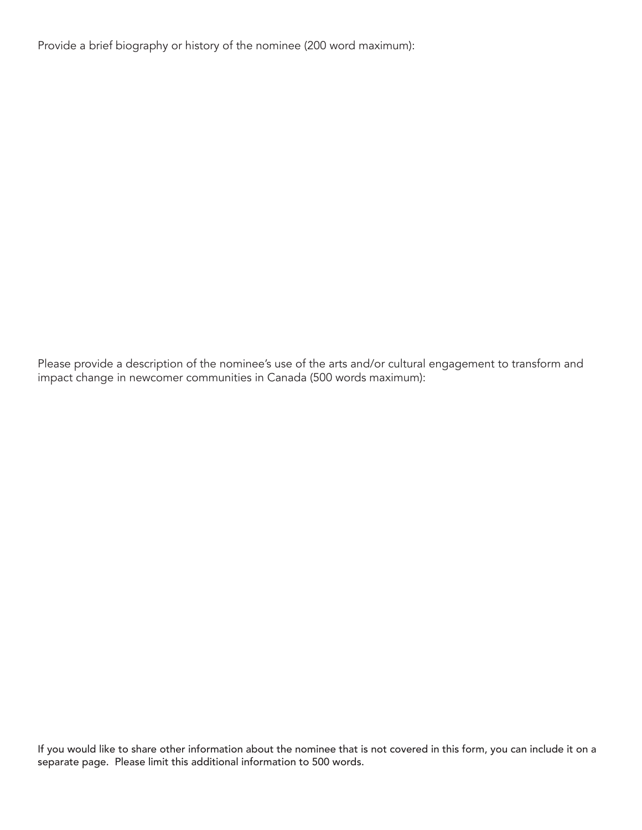Provide a brief biography or history of the nominee (200 word maximum):

Please provide a description of the nominee's use of the arts and/or cultural engagement to transform and impact change in newcomer communities in Canada (500 words maximum):

If you would like to share other information about the nominee that is not covered in this form, you can include it on a separate page. Please limit this additional information to 500 words.